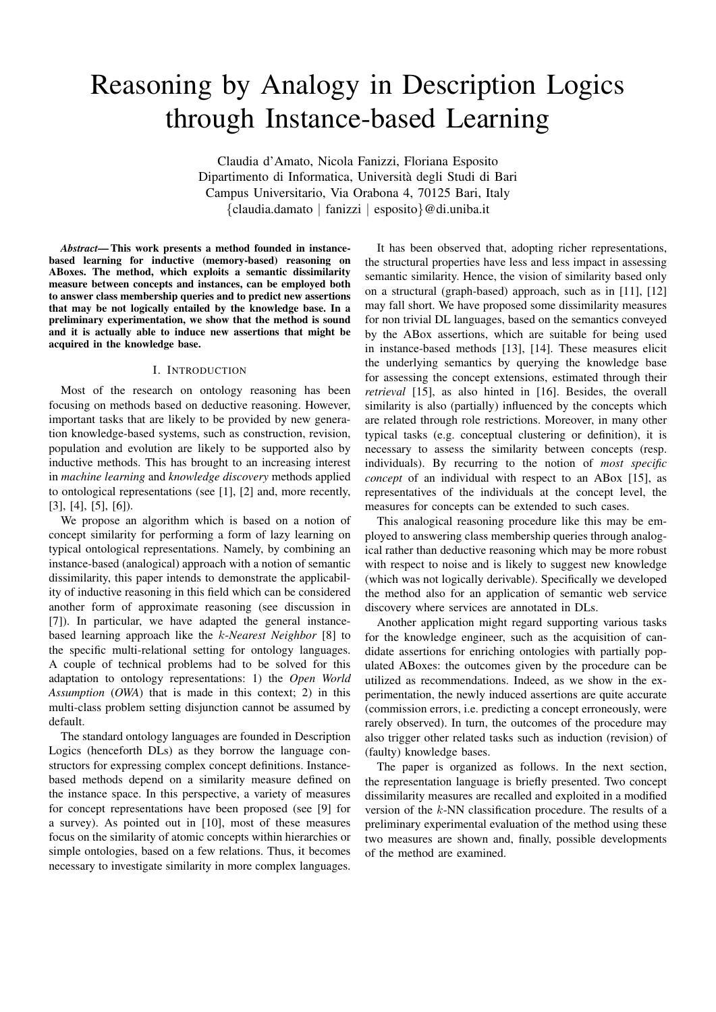# Reasoning by Analogy in Description Logics through Instance-based Learning

Claudia d'Amato, Nicola Fanizzi, Floriana Esposito Dipartimento di Informatica, Universita degli Studi di Bari ` Campus Universitario, Via Orabona 4, 70125 Bari, Italy {claudia.damato | fanizzi | esposito}@di.uniba.it

*Abstract*— This work presents a method founded in instancebased learning for inductive (memory-based) reasoning on ABoxes. The method, which exploits a semantic dissimilarity measure between concepts and instances, can be employed both to answer class membership queries and to predict new assertions that may be not logically entailed by the knowledge base. In a preliminary experimentation, we show that the method is sound and it is actually able to induce new assertions that might be acquired in the knowledge base.

#### I. INTRODUCTION

Most of the research on ontology reasoning has been focusing on methods based on deductive reasoning. However, important tasks that are likely to be provided by new generation knowledge-based systems, such as construction, revision, population and evolution are likely to be supported also by inductive methods. This has brought to an increasing interest in *machine learning* and *knowledge discovery* methods applied to ontological representations (see [1], [2] and, more recently, [3], [4], [5], [6]).

We propose an algorithm which is based on a notion of concept similarity for performing a form of lazy learning on typical ontological representations. Namely, by combining an instance-based (analogical) approach with a notion of semantic dissimilarity, this paper intends to demonstrate the applicability of inductive reasoning in this field which can be considered another form of approximate reasoning (see discussion in [7]). In particular, we have adapted the general instancebased learning approach like the k-*Nearest Neighbor* [8] to the specific multi-relational setting for ontology languages. A couple of technical problems had to be solved for this adaptation to ontology representations: 1) the *Open World Assumption* (*OWA*) that is made in this context; 2) in this multi-class problem setting disjunction cannot be assumed by default.

The standard ontology languages are founded in Description Logics (henceforth DLs) as they borrow the language constructors for expressing complex concept definitions. Instancebased methods depend on a similarity measure defined on the instance space. In this perspective, a variety of measures for concept representations have been proposed (see [9] for a survey). As pointed out in [10], most of these measures focus on the similarity of atomic concepts within hierarchies or simple ontologies, based on a few relations. Thus, it becomes necessary to investigate similarity in more complex languages.

It has been observed that, adopting richer representations, the structural properties have less and less impact in assessing semantic similarity. Hence, the vision of similarity based only on a structural (graph-based) approach, such as in [11], [12] may fall short. We have proposed some dissimilarity measures for non trivial DL languages, based on the semantics conveyed by the ABox assertions, which are suitable for being used in instance-based methods [13], [14]. These measures elicit the underlying semantics by querying the knowledge base for assessing the concept extensions, estimated through their *retrieval* [15], as also hinted in [16]. Besides, the overall similarity is also (partially) influenced by the concepts which are related through role restrictions. Moreover, in many other typical tasks (e.g. conceptual clustering or definition), it is necessary to assess the similarity between concepts (resp. individuals). By recurring to the notion of *most specific concept* of an individual with respect to an ABox [15], as representatives of the individuals at the concept level, the measures for concepts can be extended to such cases.

This analogical reasoning procedure like this may be employed to answering class membership queries through analogical rather than deductive reasoning which may be more robust with respect to noise and is likely to suggest new knowledge (which was not logically derivable). Specifically we developed the method also for an application of semantic web service discovery where services are annotated in DLs.

Another application might regard supporting various tasks for the knowledge engineer, such as the acquisition of candidate assertions for enriching ontologies with partially populated ABoxes: the outcomes given by the procedure can be utilized as recommendations. Indeed, as we show in the experimentation, the newly induced assertions are quite accurate (commission errors, i.e. predicting a concept erroneously, were rarely observed). In turn, the outcomes of the procedure may also trigger other related tasks such as induction (revision) of (faulty) knowledge bases.

The paper is organized as follows. In the next section, the representation language is briefly presented. Two concept dissimilarity measures are recalled and exploited in a modified version of the k-NN classification procedure. The results of a preliminary experimental evaluation of the method using these two measures are shown and, finally, possible developments of the method are examined.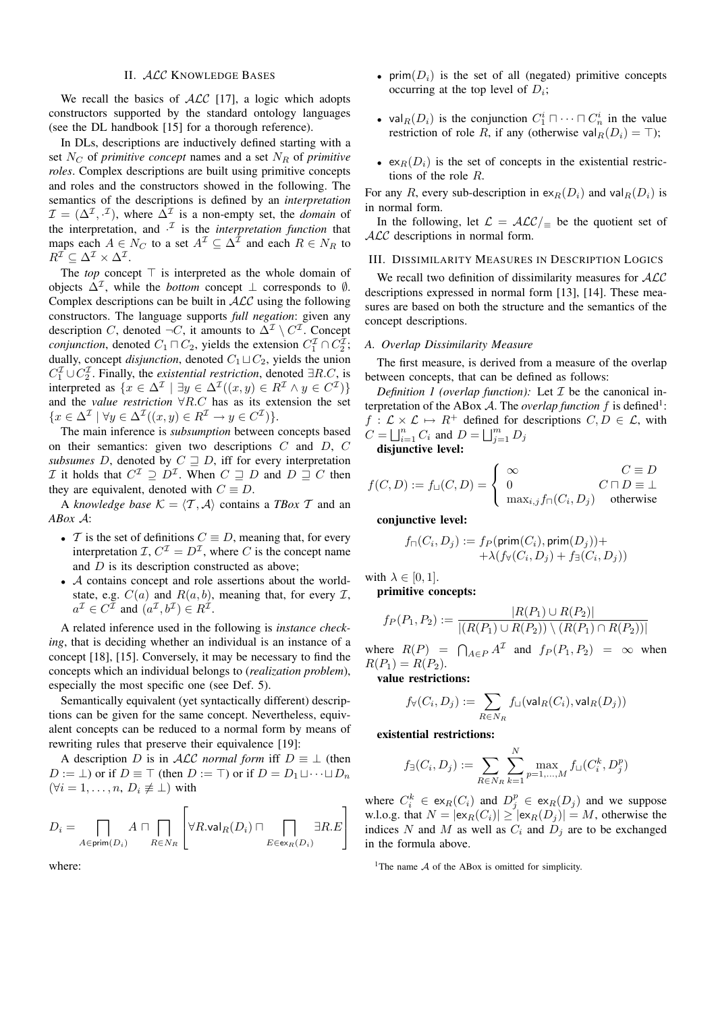## II. ALC KNOWLEDGE BASES

We recall the basics of  $ALC$  [17], a logic which adopts constructors supported by the standard ontology languages (see the DL handbook [15] for a thorough reference).

In DLs, descriptions are inductively defined starting with a set  $N_C$  of *primitive concept* names and a set  $N_R$  of *primitive roles*. Complex descriptions are built using primitive concepts and roles and the constructors showed in the following. The semantics of the descriptions is defined by an *interpretation*  $\mathcal{I} = (\Delta^{\mathcal{I}}, \cdot^{\mathcal{I}})$ , where  $\Delta^{\mathcal{I}}$  is a non-empty set, the *domain* of the interpretation, and  $\cdot^{\mathcal{I}}$  is the *interpretation function* that maps each  $A \in N_C$  to a set  $A^{\mathcal{I}} \subseteq \Delta^{\mathcal{I}}$  and each  $R \in N_R$  to  $R^{\mathcal{I}} \subseteq \Delta^{\mathcal{I}} \times \Delta^{\mathcal{I}}.$ 

The *top* concept  $\top$  is interpreted as the whole domain of objects  $\Delta^{\mathcal{I}}$ , while the *bottom* concept  $\bot$  corresponds to  $\emptyset$ . Complex descriptions can be built in  $ALC$  using the following constructors. The language supports *full negation*: given any description C, denoted  $\neg C$ , it amounts to  $\Delta^{\mathcal{I}} \setminus C^{\mathcal{I}}$ . Concept *conjunction*, denoted  $C_1 \sqcap C_2$ , yields the extension  $C_1^{\mathcal{I}} \cap C_2^{\mathcal{I}}$ ; dually, concept *disjunction*, denoted  $C_1 \sqcup C_2$ , yields the union  $C_1^{\mathcal{I}} \cup C_2^{\mathcal{I}}$ . Finally, the *existential restriction*, denoted  $\exists R.C$ , is interpreted as  $\{x \in \Delta^{\mathcal{I}} \mid \exists y \in \Delta^{\mathcal{I}}((x, y) \in R^{\mathcal{I}} \land y \in C^{\mathcal{I}})\}\$ and the *value restriction* ∀R.C has as its extension the set  $\{x \in \Delta^{\mathcal{I}} \mid \forall y \in \Delta^{\mathcal{I}}((x, y) \in R^{\mathcal{I}} \to y \in C^{\mathcal{I}})\}.$ 

The main inference is *subsumption* between concepts based on their semantics: given two descriptions C and D, C *subsumes* D, denoted by  $C \supseteq D$ , iff for every interpretation *I* it holds that  $C^{\mathcal{I}} \supseteq D^{\mathcal{I}}$ . When  $C \supseteq D$  and  $D \supseteq C$  then they are equivalent, denoted with  $C \equiv D$ .

A *knowledge base*  $K = \langle T, A \rangle$  contains a *TBox* T and an *ABox* A:

- T is the set of definitions  $C \equiv D$ , meaning that, for every interpretation  $\mathcal{I}, C^{\mathcal{I}} = D^{\mathcal{I}}$ , where C is the concept name and D is its description constructed as above;
- A contains concept and role assertions about the worldstate, e.g.  $C(a)$  and  $R(a, b)$ , meaning that, for every  $\mathcal{I}$ ,  $a^{\mathcal{I}} \in C^{\mathcal{I}}$  and  $(a^{\mathcal{I}}, b^{\mathcal{I}}) \in R^{\mathcal{I}}$ .

A related inference used in the following is *instance checking*, that is deciding whether an individual is an instance of a concept [18], [15]. Conversely, it may be necessary to find the concepts which an individual belongs to (*realization problem*), especially the most specific one (see Def. 5).

Semantically equivalent (yet syntactically different) descriptions can be given for the same concept. Nevertheless, equivalent concepts can be reduced to a normal form by means of rewriting rules that preserve their equivalence [19]:

A description D is in ALC *normal form* iff  $D \equiv \perp$  (then  $D := \perp$ ) or if  $D \equiv \top$  (then  $D := \top$ ) or if  $D = D_1 \sqcup \cdots \sqcup D_n$  $(\forall i = 1, \ldots, n, D_i \not\equiv \bot)$  with

$$
D_i = \bigcap_{A \in \text{prim}(D_i)} A \cap \bigcap_{R \in N_R} \left[ \forall R.\text{val}_R(D_i) \cap \bigcap_{E \in \text{ex}_R(D_i)} \exists R.E \right]
$$

where:

- prim $(D_i)$  is the set of all (negated) primitive concepts occurring at the top level of  $D_i$ ;
- val $_R(D_i)$  is the conjunction  $C_1^i \square \cdots \square C_n^i$  in the value restriction of role R, if any (otherwise val $_R(D_i) = \top$ );
- $ex_R(D_i)$  is the set of concepts in the existential restrictions of the role R.

For any R, every sub-description in  $ex_R(D_i)$  and  $val_R(D_i)$  is in normal form.

In the following, let  $\mathcal{L} = \mathcal{ALC}/\mathcal{L}$  be the quotient set of ALC descriptions in normal form.

## III. DISSIMILARITY MEASURES IN DESCRIPTION LOGICS

We recall two definition of dissimilarity measures for  $ALC$ descriptions expressed in normal form [13], [14]. These measures are based on both the structure and the semantics of the concept descriptions.

## *A. Overlap Dissimilarity Measure*

The first measure, is derived from a measure of the overlap between concepts, that can be defined as follows:

*Definition 1 (overlap function):* Let  $\mathcal I$  be the canonical interpretation of the ABox  $A$ . The *overlap function*  $f$  is defined<sup>1</sup>:  $f: \mathcal{L} \times \mathcal{L} \mapsto R^+$  defined for descriptions  $C, D \in \mathcal{L}$ , with  $C = \bigsqcup_{i=1}^{n} C_i$  and  $D = \bigsqcup_{j=1}^{m} D_j$ 

disjunctive level:

$$
f(C, D) := f_{\sqcup}(C, D) = \begin{cases} \infty & C \equiv D \\ 0 & C \sqcap D \equiv \bot \\ \max_{i,j} f_{\sqcap}(C_i, D_j) & \text{otherwise} \end{cases}
$$

conjunctive level:

$$
f_\sqcap(C_i,D_j) := f_P(\mathsf{prim}(C_i),\mathsf{prim}(D_j)) + \\ + \lambda (f_\forall(C_i,D_j) + f_\exists(C_i,D_j))
$$

with  $\lambda \in [0, 1]$ .

primitive concepts:

$$
f_P(P_1, P_2) := \frac{|R(P_1) \cup R(P_2)|}{|(R(P_1) \cup R(P_2)) \setminus (R(P_1) \cap R(P_2))|}
$$

where  $R(P) = \bigcap_{A \in P} A^{\mathcal{I}}$  and  $f_P(P_1, P_2) = \infty$  when  $R(P_1) = R(P_2)$ .

value restrictions:

$$
f_\forall(C_i, D_j) := \sum_{R \in N_R} f_\sqcup(\mathsf{val}_R(C_i), \mathsf{val}_R(D_j))
$$

existential restrictions:

$$
f_{\exists}(C_i, D_j) := \sum_{R \in N_R} \sum_{k=1}^{N} \max_{p=1,...,M} f_{\sqcup}(C_i^k, D_j^p)
$$

where  $C_i^k \in \text{ex}_R(C_i)$  and  $D_j^p \in \text{ex}_R(D_j)$  and we suppose w.l.o.g. that  $N = |\text{ex}_{R}(C_i)| \geq |\text{ex}_{R}(D_j)| = M$ , otherwise the indices N and M as well as  $C_i$  and  $D_j$  are to be exchanged in the formula above.

<sup>1</sup>The name  $A$  of the ABox is omitted for simplicity.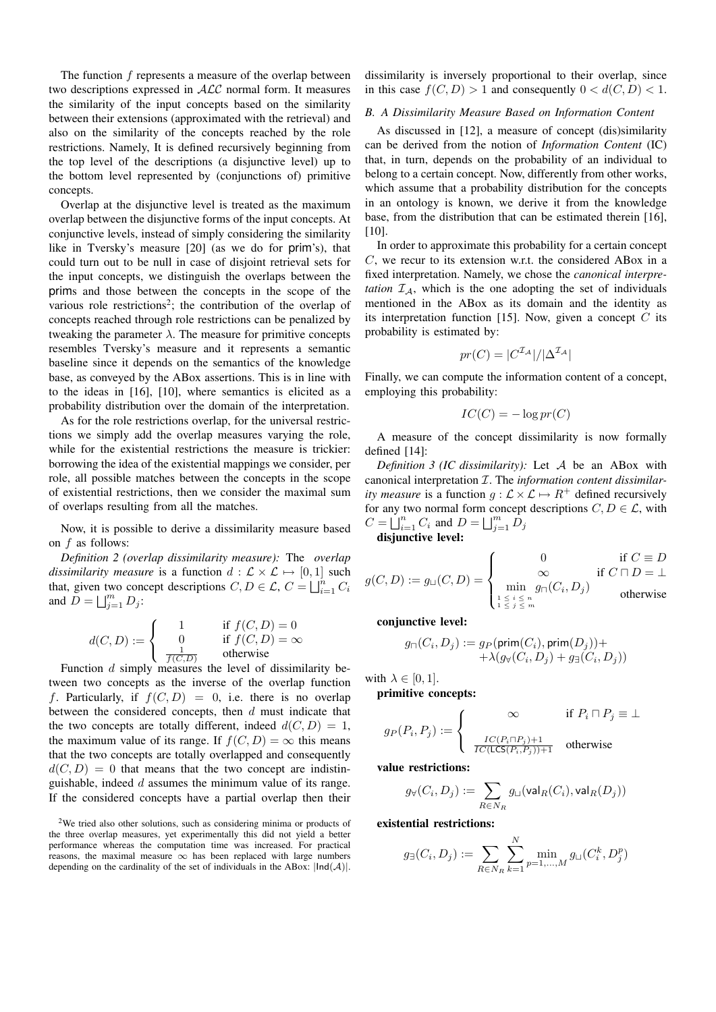The function  $f$  represents a measure of the overlap between two descriptions expressed in ALC normal form. It measures the similarity of the input concepts based on the similarity between their extensions (approximated with the retrieval) and also on the similarity of the concepts reached by the role restrictions. Namely, It is defined recursively beginning from the top level of the descriptions (a disjunctive level) up to the bottom level represented by (conjunctions of) primitive concepts.

Overlap at the disjunctive level is treated as the maximum overlap between the disjunctive forms of the input concepts. At conjunctive levels, instead of simply considering the similarity like in Tversky's measure [20] (as we do for prim's), that could turn out to be null in case of disjoint retrieval sets for the input concepts, we distinguish the overlaps between the prims and those between the concepts in the scope of the various role restrictions<sup>2</sup>; the contribution of the overlap of concepts reached through role restrictions can be penalized by tweaking the parameter  $\lambda$ . The measure for primitive concepts resembles Tversky's measure and it represents a semantic baseline since it depends on the semantics of the knowledge base, as conveyed by the ABox assertions. This is in line with to the ideas in [16], [10], where semantics is elicited as a probability distribution over the domain of the interpretation.

As for the role restrictions overlap, for the universal restrictions we simply add the overlap measures varying the role, while for the existential restrictions the measure is trickier: borrowing the idea of the existential mappings we consider, per role, all possible matches between the concepts in the scope of existential restrictions, then we consider the maximal sum of overlaps resulting from all the matches.

Now, it is possible to derive a dissimilarity measure based on  $f$  as follows:

*Definition 2 (overlap dissimilarity measure):* The *overlap dissimilarity measure* is a function  $d : \mathcal{L} \times \mathcal{L} \mapsto [0, 1]$  such that, given two concept descriptions  $C, D \in \mathcal{L}, C = \bigsqcup_{i=1}^n C_i$ and  $\tilde{D} = \bigsqcup_{j=1}^m D_j$ :

$$
d(C, D) := \begin{cases} 1 & \text{if } f(C, D) = 0\\ 0 & \text{if } f(C, D) = \infty\\ \frac{1}{f(C, D)} & \text{otherwise} \end{cases}
$$

Function d simply measures the level of dissimilarity between two concepts as the inverse of the overlap function f. Particularly, if  $f(C, D) = 0$ , i.e. there is no overlap between the considered concepts, then  $d$  must indicate that the two concepts are totally different, indeed  $d(C, D) = 1$ , the maximum value of its range. If  $f(C, D) = \infty$  this means that the two concepts are totally overlapped and consequently  $d(C, D) = 0$  that means that the two concept are indistinguishable, indeed  $d$  assumes the minimum value of its range. If the considered concepts have a partial overlap then their

<sup>2</sup>We tried also other solutions, such as considering minima or products of the three overlap measures, yet experimentally this did not yield a better performance whereas the computation time was increased. For practical reasons, the maximal measure  $\infty$  has been replaced with large numbers depending on the cardinality of the set of individuals in the ABox:  $|Ind(\mathcal{A})|$ .

dissimilarity is inversely proportional to their overlap, since in this case  $f(C, D) > 1$  and consequently  $0 < d(C, D) < 1$ .

## *B. A Dissimilarity Measure Based on Information Content*

As discussed in [12], a measure of concept (dis)similarity can be derived from the notion of *Information Content* (IC) that, in turn, depends on the probability of an individual to belong to a certain concept. Now, differently from other works, which assume that a probability distribution for the concepts in an ontology is known, we derive it from the knowledge base, from the distribution that can be estimated therein [16],  $[10]$ .

In order to approximate this probability for a certain concept C, we recur to its extension w.r.t. the considered ABox in a fixed interpretation. Namely, we chose the *canonical interpretation*  $I_A$ , which is the one adopting the set of individuals mentioned in the ABox as its domain and the identity as its interpretation function [15]. Now, given a concept  $C$  its probability is estimated by:

$$
pr(C) = |C^{\mathcal{I}_{\mathcal{A}}}|/|\Delta^{\mathcal{I}_{\mathcal{A}}}|
$$

Finally, we can compute the information content of a concept, employing this probability:

$$
IC(C) = -\log pr(C)
$$

A measure of the concept dissimilarity is now formally defined [14]:

*Definition 3 (IC dissimilarity):* Let A be an ABox with canonical interpretation I. The *information content dissimilarity measure* is a function  $g: \mathcal{L} \times \mathcal{L} \mapsto R^+$  defined recursively for any two normal form concept descriptions  $C, D \in \mathcal{L}$ , with  $C = \bigsqcup_{i=1}^{n} C_i$  and  $D = \bigsqcup_{j=1}^{m} D_j$ 

disjunctive level:

$$
g(C, D) := g_{\sqcup}(C, D) = \begin{cases} 0 & \text{if } C \equiv D \\ \infty & \text{if } C \sqcap D = \bot \\ \min_{1 \le i \le n} g_{\sqcap}(C_i, D_j) & \text{otherwise} \end{cases}
$$

conjunctive level:

$$
g_{\sqcap}(C_i, D_j) := g_P(\mathsf{prim}(C_i), \mathsf{prim}(D_j)) + \\ + \lambda (g_{\forall}(C_i, D_j) + g_{\exists}(C_i, D_j))
$$

with  $\lambda \in [0,1]$ .

primitive concepts:

$$
g_P(P_i, P_j) := \begin{cases} \infty & \text{if } P_i \sqcap P_j \equiv \bot \\ \frac{IC(P_i \sqcap P_j) + 1}{IC(ICS(P_i, P_j)) + 1} & \text{otherwise} \end{cases}
$$

value restrictions:

$$
g_{\forall}(C_i,D_j):=\sum_{R\in N_R}g_{\sqcup}({\rm val}_R(C_i),{\rm val}_R(D_j))
$$

existential restrictions:

$$
g_{\exists}(C_i, D_j) := \sum_{R \in N_R} \sum_{k=1}^{N} \min_{p=1,\dots,M} g_{\sqcup}(C_i^k, D_j^p)
$$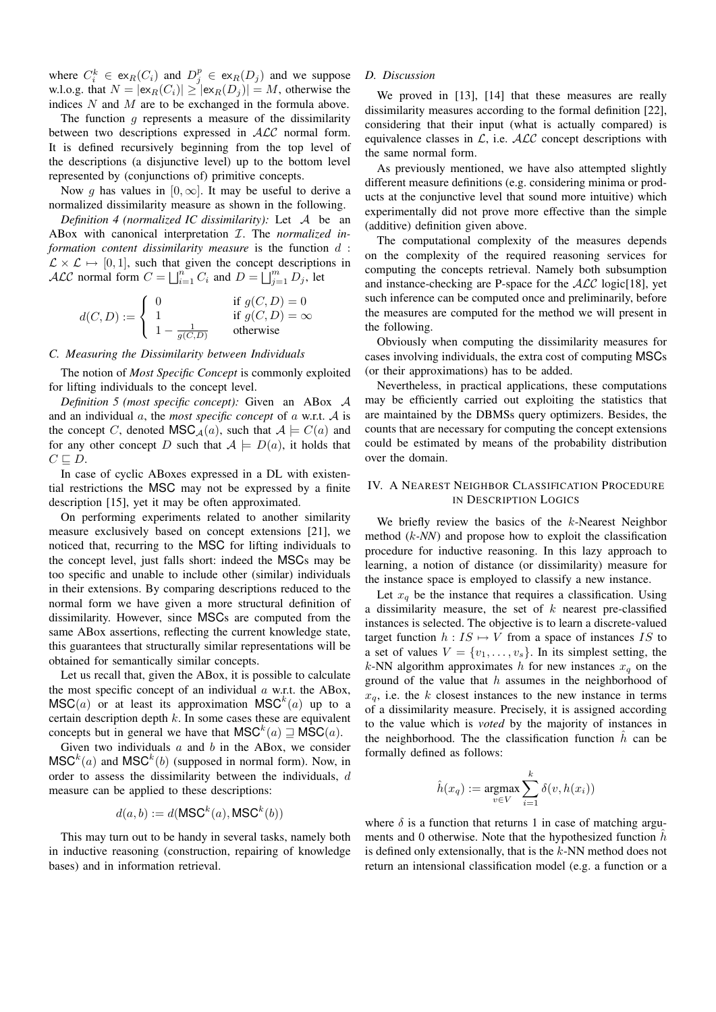where  $C_i^k \in \text{ex}_R(C_i)$  and  $D_j^p \in \text{ex}_R(D_j)$  and we suppose w.l.o.g. that  $N = |\exp(C_i)| \geq |\exp(D_i)| = M$ , otherwise the indices N and M are to be exchanged in the formula above.

The function  $g$  represents a measure of the dissimilarity between two descriptions expressed in ALC normal form. It is defined recursively beginning from the top level of the descriptions (a disjunctive level) up to the bottom level represented by (conjunctions of) primitive concepts.

Now g has values in  $[0, \infty]$ . It may be useful to derive a normalized dissimilarity measure as shown in the following.

*Definition 4 (normalized IC dissimilarity):* Let A be an ABox with canonical interpretation I. The *normalized information content dissimilarity measure* is the function d :  $\mathcal{L} \times \mathcal{L} \mapsto [0, 1]$ , such that given the concept descriptions in ALC normal form  $C = \bigsqcup_{i=1}^{n} C_i$  and  $D = \bigsqcup_{j=1}^{m} D_j$ , let

$$
d(C, D) := \begin{cases} 0 & \text{if } g(C, D) = 0\\ 1 & \text{if } g(C, D) = \infty\\ 1 - \frac{1}{g(C, D)} & \text{otherwise} \end{cases}
$$

## *C. Measuring the Dissimilarity between Individuals*

The notion of *Most Specific Concept* is commonly exploited for lifting individuals to the concept level.

*Definition 5 (most specific concept):* Given an ABox A and an individual a, the *most specific concept* of a w.r.t. A is the concept C, denoted  $\text{MSC}_A(a)$ , such that  $A \models C(a)$  and for any other concept D such that  $A \models D(a)$ , it holds that  $C \sqsubseteq D$ .

In case of cyclic ABoxes expressed in a DL with existential restrictions the MSC may not be expressed by a finite description [15], yet it may be often approximated.

On performing experiments related to another similarity measure exclusively based on concept extensions [21], we noticed that, recurring to the MSC for lifting individuals to the concept level, just falls short: indeed the MSCs may be too specific and unable to include other (similar) individuals in their extensions. By comparing descriptions reduced to the normal form we have given a more structural definition of dissimilarity. However, since MSCs are computed from the same ABox assertions, reflecting the current knowledge state, this guarantees that structurally similar representations will be obtained for semantically similar concepts.

Let us recall that, given the ABox, it is possible to calculate the most specific concept of an individual  $a$  w.r.t. the ABox,  $\mathsf{MSC}(a)$  or at least its approximation  $\mathsf{MSC}^k(a)$  up to a certain description depth  $k$ . In some cases these are equivalent concepts but in general we have that  $\mathsf{MSC}^k(a) \sqsupseteq \mathsf{MSC}(a)$ .

Given two individuals  $a$  and  $b$  in the ABox, we consider  $\mathsf{MSC}^k(a)$  and  $\mathsf{MSC}^k(b)$  (supposed in normal form). Now, in order to assess the dissimilarity between the individuals, d measure can be applied to these descriptions:

$$
d(a, b) := d(MSC^k(a), \text{MSC}^k(b))
$$

This may turn out to be handy in several tasks, namely both in inductive reasoning (construction, repairing of knowledge bases) and in information retrieval.

## *D. Discussion*

We proved in [13], [14] that these measures are really dissimilarity measures according to the formal definition [22], considering that their input (what is actually compared) is equivalence classes in  $\mathcal{L}$ , i.e.  $\mathcal{ALC}$  concept descriptions with the same normal form.

As previously mentioned, we have also attempted slightly different measure definitions (e.g. considering minima or products at the conjunctive level that sound more intuitive) which experimentally did not prove more effective than the simple (additive) definition given above.

The computational complexity of the measures depends on the complexity of the required reasoning services for computing the concepts retrieval. Namely both subsumption and instance-checking are P-space for the  $ALC$  logic[18], yet such inference can be computed once and preliminarily, before the measures are computed for the method we will present in the following.

Obviously when computing the dissimilarity measures for cases involving individuals, the extra cost of computing MSCs (or their approximations) has to be added.

Nevertheless, in practical applications, these computations may be efficiently carried out exploiting the statistics that are maintained by the DBMSs query optimizers. Besides, the counts that are necessary for computing the concept extensions could be estimated by means of the probability distribution over the domain.

# IV. A NEAREST NEIGHBOR CLASSIFICATION PROCEDURE IN DESCRIPTION LOGICS

We briefly review the basics of the  $k$ -Nearest Neighbor method (k*-NN*) and propose how to exploit the classification procedure for inductive reasoning. In this lazy approach to learning, a notion of distance (or dissimilarity) measure for the instance space is employed to classify a new instance.

Let  $x_q$  be the instance that requires a classification. Using a dissimilarity measure, the set of  $k$  nearest pre-classified instances is selected. The objective is to learn a discrete-valued target function  $h: IS \mapsto V$  from a space of instances IS to a set of values  $V = \{v_1, \ldots, v_s\}$ . In its simplest setting, the k-NN algorithm approximates h for new instances  $x_a$  on the ground of the value that  $h$  assumes in the neighborhood of  $x_q$ , i.e. the k closest instances to the new instance in terms of a dissimilarity measure. Precisely, it is assigned according to the value which is *voted* by the majority of instances in the neighborhood. The the classification function  $h$  can be formally defined as follows:

$$
\hat{h}(x_q) := \underset{v \in V}{\text{argmax}} \sum_{i=1}^k \delta(v, h(x_i))
$$

where  $\delta$  is a function that returns 1 in case of matching arguments and 0 otherwise. Note that the hypothesized function  $\hat{h}$ is defined only extensionally, that is the  $k$ -NN method does not return an intensional classification model (e.g. a function or a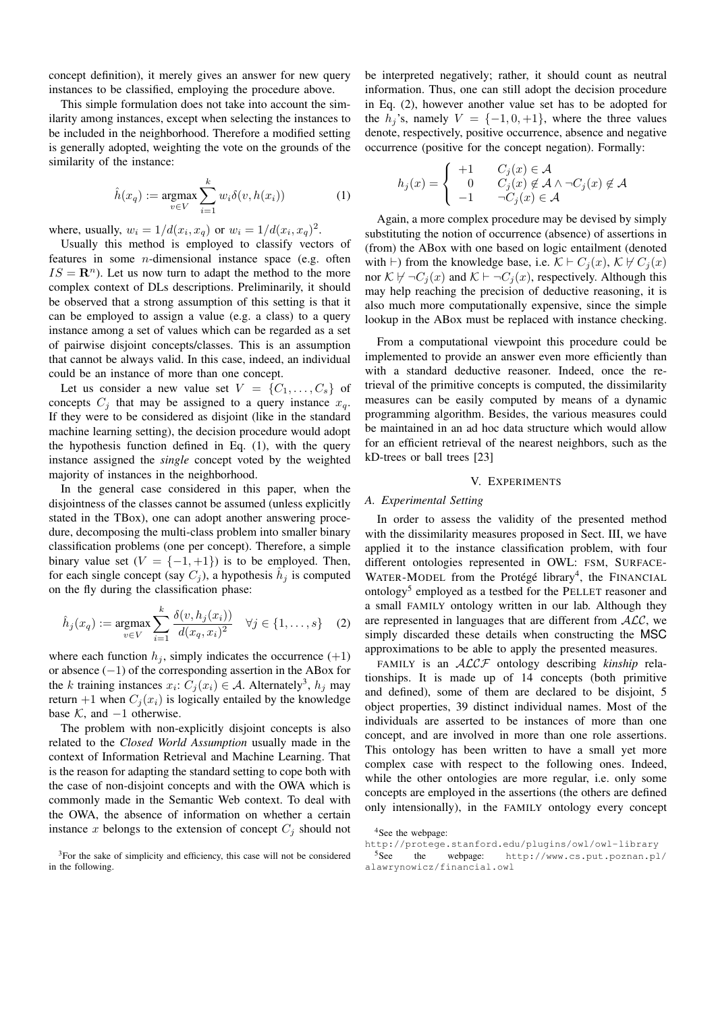concept definition), it merely gives an answer for new query instances to be classified, employing the procedure above.

This simple formulation does not take into account the similarity among instances, except when selecting the instances to be included in the neighborhood. Therefore a modified setting is generally adopted, weighting the vote on the grounds of the similarity of the instance:

$$
\hat{h}(x_q) := \underset{v \in V}{\operatorname{argmax}} \sum_{i=1}^k w_i \delta(v, h(x_i)) \tag{1}
$$

where, usually,  $w_i = 1/d(x_i, x_q)$  or  $w_i = 1/d(x_i, x_q)^2$ .

Usually this method is employed to classify vectors of features in some *n*-dimensional instance space (e.g. often  $IS = \mathbb{R}^n$ . Let us now turn to adapt the method to the more complex context of DLs descriptions. Preliminarily, it should be observed that a strong assumption of this setting is that it can be employed to assign a value (e.g. a class) to a query instance among a set of values which can be regarded as a set of pairwise disjoint concepts/classes. This is an assumption that cannot be always valid. In this case, indeed, an individual could be an instance of more than one concept.

Let us consider a new value set  $V = \{C_1, \ldots, C_s\}$  of concepts  $C_i$  that may be assigned to a query instance  $x_q$ . If they were to be considered as disjoint (like in the standard machine learning setting), the decision procedure would adopt the hypothesis function defined in Eq. (1), with the query instance assigned the *single* concept voted by the weighted majority of instances in the neighborhood.

In the general case considered in this paper, when the disjointness of the classes cannot be assumed (unless explicitly stated in the TBox), one can adopt another answering procedure, decomposing the multi-class problem into smaller binary classification problems (one per concept). Therefore, a simple binary value set  $(V = \{-1, +1\})$  is to be employed. Then, for each single concept (say  $C_j$ ), a hypothesis  $\hat{h}_j$  is computed on the fly during the classification phase:

$$
\hat{h}_j(x_q) := \underset{v \in V}{\operatorname{argmax}} \sum_{i=1}^k \frac{\delta(v, h_j(x_i))}{d(x_q, x_i)^2} \quad \forall j \in \{1, \dots, s\} \quad (2)
$$

where each function  $h_i$ , simply indicates the occurrence  $(+1)$ or absence (−1) of the corresponding assertion in the ABox for the k training instances  $x_i$ :  $C_j(x_i) \in A$ . Alternately<sup>3</sup>,  $h_j$  may return +1 when  $C_j(x_i)$  is logically entailed by the knowledge base  $K$ , and  $-1$  otherwise.

The problem with non-explicitly disjoint concepts is also related to the *Closed World Assumption* usually made in the context of Information Retrieval and Machine Learning. That is the reason for adapting the standard setting to cope both with the case of non-disjoint concepts and with the OWA which is commonly made in the Semantic Web context. To deal with the OWA, the absence of information on whether a certain instance x belongs to the extension of concept  $C_i$  should not be interpreted negatively; rather, it should count as neutral information. Thus, one can still adopt the decision procedure in Eq. (2), however another value set has to be adopted for the  $h_j$ 's, namely  $V = \{-1, 0, +1\}$ , where the three values denote, respectively, positive occurrence, absence and negative occurrence (positive for the concept negation). Formally:

$$
h_j(x) = \begin{cases} +1 & C_j(x) \in \mathcal{A} \\ 0 & C_j(x) \notin \mathcal{A} \land \neg C_j(x) \notin \mathcal{A} \\ -1 & \neg C_j(x) \in \mathcal{A} \end{cases}
$$

Again, a more complex procedure may be devised by simply substituting the notion of occurrence (absence) of assertions in (from) the ABox with one based on logic entailment (denoted with  $\vdash$ ) from the knowledge base, i.e.  $\mathcal{K} \vdash C_i(x)$ ,  $\mathcal{K} \not\vdash C_i(x)$ nor  $\mathcal{K} \not\vdash \neg C_j (x)$  and  $\mathcal{K} \vdash \neg C_j (x)$ , respectively. Although this may help reaching the precision of deductive reasoning, it is also much more computationally expensive, since the simple lookup in the ABox must be replaced with instance checking.

From a computational viewpoint this procedure could be implemented to provide an answer even more efficiently than with a standard deductive reasoner. Indeed, once the retrieval of the primitive concepts is computed, the dissimilarity measures can be easily computed by means of a dynamic programming algorithm. Besides, the various measures could be maintained in an ad hoc data structure which would allow for an efficient retrieval of the nearest neighbors, such as the kD-trees or ball trees [23]

### V. EXPERIMENTS

#### *A. Experimental Setting*

In order to assess the validity of the presented method with the dissimilarity measures proposed in Sect. III, we have applied it to the instance classification problem, with four different ontologies represented in OWL: FSM, SURFACE-WATER-MODEL from the Protégé library<sup>4</sup>, the FINANCIAL ontology<sup>5</sup> employed as a testbed for the PELLET reasoner and a small FAMILY ontology written in our lab. Although they are represented in languages that are different from  $ALC$ , we simply discarded these details when constructing the MSC approximations to be able to apply the presented measures.

FAMILY is an ALCF ontology describing *kinship* relationships. It is made up of 14 concepts (both primitive and defined), some of them are declared to be disjoint, 5 object properties, 39 distinct individual names. Most of the individuals are asserted to be instances of more than one concept, and are involved in more than one role assertions. This ontology has been written to have a small yet more complex case with respect to the following ones. Indeed, while the other ontologies are more regular, i.e. only some concepts are employed in the assertions (the others are defined only intensionally), in the FAMILY ontology every concept

<sup>3</sup>For the sake of simplicity and efficiency, this case will not be considered in the following.

<sup>&</sup>lt;sup>4</sup>See the webpage:

http://protege.stanford.edu/plugins/owl/owl-library<br>
See the webpage: http://www.cs.put.poznan.pl the webpage: http://www.cs.put.poznan.pl/ alawrynowicz/financial.owl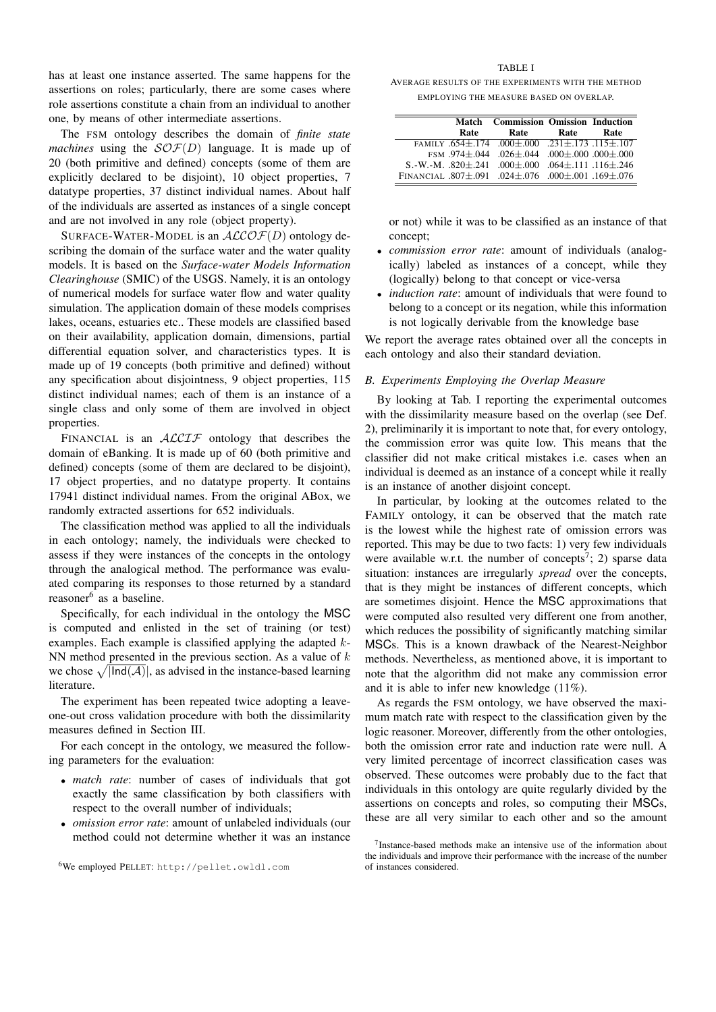has at least one instance asserted. The same happens for the assertions on roles; particularly, there are some cases where role assertions constitute a chain from an individual to another one, by means of other intermediate assertions.

The FSM ontology describes the domain of *finite state machines* using the  $\mathcal{SOF}(D)$  language. It is made up of 20 (both primitive and defined) concepts (some of them are explicitly declared to be disjoint), 10 object properties, 7 datatype properties, 37 distinct individual names. About half of the individuals are asserted as instances of a single concept and are not involved in any role (object property).

SURFACE-WATER-MODEL is an  $ALCOF(D)$  ontology describing the domain of the surface water and the water quality models. It is based on the *Surface-water Models Information Clearinghouse* (SMIC) of the USGS. Namely, it is an ontology of numerical models for surface water flow and water quality simulation. The application domain of these models comprises lakes, oceans, estuaries etc.. These models are classified based on their availability, application domain, dimensions, partial differential equation solver, and characteristics types. It is made up of 19 concepts (both primitive and defined) without any specification about disjointness, 9 object properties, 115 distinct individual names; each of them is an instance of a single class and only some of them are involved in object properties.

FINANCIAL is an  $ALCTF$  ontology that describes the domain of eBanking. It is made up of 60 (both primitive and defined) concepts (some of them are declared to be disjoint), 17 object properties, and no datatype property. It contains 17941 distinct individual names. From the original ABox, we randomly extracted assertions for 652 individuals.

The classification method was applied to all the individuals in each ontology; namely, the individuals were checked to assess if they were instances of the concepts in the ontology through the analogical method. The performance was evaluated comparing its responses to those returned by a standard reasoner<sup>6</sup> as a baseline.

Specifically, for each individual in the ontology the MSC is computed and enlisted in the set of training (or test) examples. Each example is classified applying the adapted k-NN method presented in the previous section. As a value of  $k$ we chose  $\sqrt{|Ind(\mathcal{A})|}$ , as advised in the instance-based learning literature.

The experiment has been repeated twice adopting a leaveone-out cross validation procedure with both the dissimilarity measures defined in Section III.

For each concept in the ontology, we measured the following parameters for the evaluation:

- *match rate*: number of cases of individuals that got exactly the same classification by both classifiers with respect to the overall number of individuals;
- *omission error rate*: amount of unlabeled individuals (our method could not determine whether it was an instance

#### TABLE I

AVERAGE RESULTS OF THE EXPERIMENTS WITH THE METHOD EMPLOYING THE MEASURE BASED ON OVERLAP.

| Match | <b>Commission Omission Induction</b>                                      |      |      |
|-------|---------------------------------------------------------------------------|------|------|
| Rate  | Rate                                                                      | Rate | Rate |
|       | FAMILY $.654\pm.174$ $.000\pm.000$ $.231\pm.173$ $.115\pm.107$            |      |      |
|       | FSM $.974 \pm .044$ $.026 \pm .044$ $.000 \pm .000$ $.000 \pm .000$       |      |      |
|       | S.-W.-M. $.820\pm.241$ $.000\pm.000$ $.064\pm.111$ $.116\pm.246$          |      |      |
|       | FINANCIAL .807 $\pm$ .091 .024 $\pm$ .076 .000 $\pm$ .001 .169 $\pm$ .076 |      |      |

or not) while it was to be classified as an instance of that concept;

- *commission error rate*: amount of individuals (analogically) labeled as instances of a concept, while they (logically) belong to that concept or vice-versa
- *induction rate*: amount of individuals that were found to belong to a concept or its negation, while this information is not logically derivable from the knowledge base

We report the average rates obtained over all the concepts in each ontology and also their standard deviation.

## *B. Experiments Employing the Overlap Measure*

By looking at Tab. I reporting the experimental outcomes with the dissimilarity measure based on the overlap (see Def. 2), preliminarily it is important to note that, for every ontology, the commission error was quite low. This means that the classifier did not make critical mistakes i.e. cases when an individual is deemed as an instance of a concept while it really is an instance of another disjoint concept.

In particular, by looking at the outcomes related to the FAMILY ontology, it can be observed that the match rate is the lowest while the highest rate of omission errors was reported. This may be due to two facts: 1) very few individuals were available w.r.t. the number of concepts<sup>7</sup>; 2) sparse data situation: instances are irregularly *spread* over the concepts, that is they might be instances of different concepts, which are sometimes disjoint. Hence the MSC approximations that were computed also resulted very different one from another, which reduces the possibility of significantly matching similar MSCs. This is a known drawback of the Nearest-Neighbor methods. Nevertheless, as mentioned above, it is important to note that the algorithm did not make any commission error and it is able to infer new knowledge (11%).

As regards the FSM ontology, we have observed the maximum match rate with respect to the classification given by the logic reasoner. Moreover, differently from the other ontologies, both the omission error rate and induction rate were null. A very limited percentage of incorrect classification cases was observed. These outcomes were probably due to the fact that individuals in this ontology are quite regularly divided by the assertions on concepts and roles, so computing their MSCs, these are all very similar to each other and so the amount

<sup>6</sup>We employed PELLET: http://pellet.owldl.com

<sup>7</sup> Instance-based methods make an intensive use of the information about the individuals and improve their performance with the increase of the number of instances considered.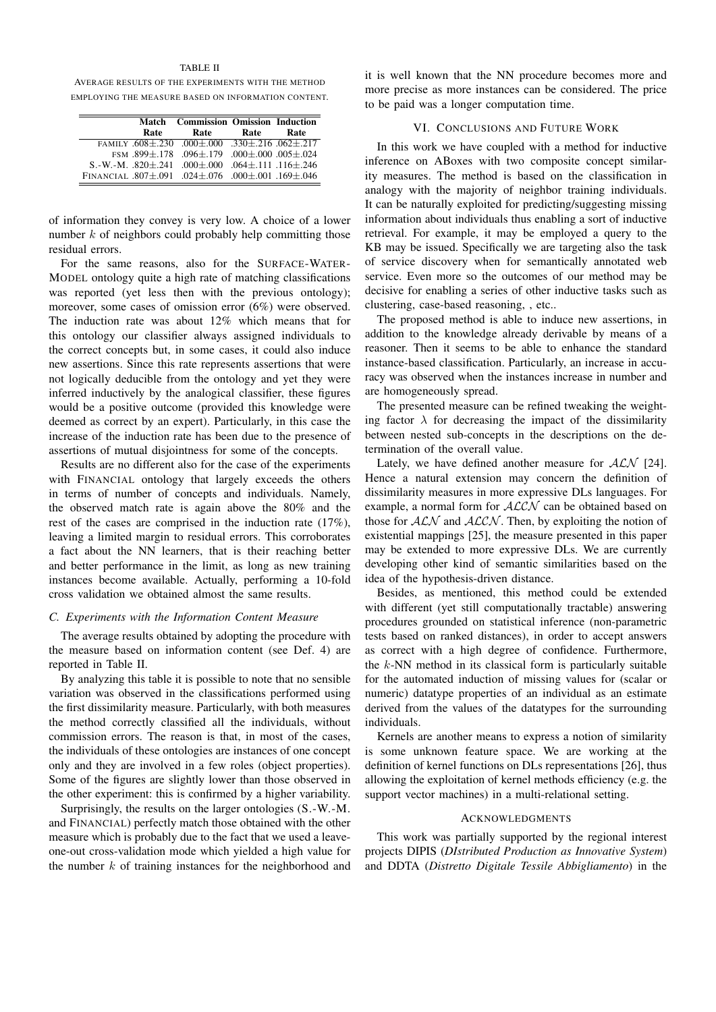### TABLE II

AVERAGE RESULTS OF THE EXPERIMENTS WITH THE METHOD EMPLOYING THE MEASURE BASED ON INFORMATION CONTENT.

|                                                                           | <b>Match</b> Commission Omission Induction |      |      |
|---------------------------------------------------------------------------|--------------------------------------------|------|------|
| Rate                                                                      | Rate                                       | Rate | Rate |
| FAMILY $.608\pm.230$ $.000\pm.000$ $.330\pm.216$ $.062\pm.217$            |                                            |      |      |
|                                                                           | FSM.899±.178.096±.179.000±.000.005±.024    |      |      |
| S.-W.-M. $.820\pm.241$ $.000\pm.000$ $.064\pm.111$ $.116\pm.246$          |                                            |      |      |
| FINANCIAL .807 $\pm$ .091 .024 $\pm$ .076 .000 $\pm$ .001 .169 $\pm$ .046 |                                            |      |      |

of information they convey is very low. A choice of a lower number  $k$  of neighbors could probably help committing those residual errors.

For the same reasons, also for the SURFACE-WATER-MODEL ontology quite a high rate of matching classifications was reported (yet less then with the previous ontology); moreover, some cases of omission error (6%) were observed. The induction rate was about 12% which means that for this ontology our classifier always assigned individuals to the correct concepts but, in some cases, it could also induce new assertions. Since this rate represents assertions that were not logically deducible from the ontology and yet they were inferred inductively by the analogical classifier, these figures would be a positive outcome (provided this knowledge were deemed as correct by an expert). Particularly, in this case the increase of the induction rate has been due to the presence of assertions of mutual disjointness for some of the concepts.

Results are no different also for the case of the experiments with FINANCIAL ontology that largely exceeds the others in terms of number of concepts and individuals. Namely, the observed match rate is again above the 80% and the rest of the cases are comprised in the induction rate (17%), leaving a limited margin to residual errors. This corroborates a fact about the NN learners, that is their reaching better and better performance in the limit, as long as new training instances become available. Actually, performing a 10-fold cross validation we obtained almost the same results.

# *C. Experiments with the Information Content Measure*

The average results obtained by adopting the procedure with the measure based on information content (see Def. 4) are reported in Table II.

By analyzing this table it is possible to note that no sensible variation was observed in the classifications performed using the first dissimilarity measure. Particularly, with both measures the method correctly classified all the individuals, without commission errors. The reason is that, in most of the cases, the individuals of these ontologies are instances of one concept only and they are involved in a few roles (object properties). Some of the figures are slightly lower than those observed in the other experiment: this is confirmed by a higher variability.

Surprisingly, the results on the larger ontologies (S.-W.-M. and FINANCIAL) perfectly match those obtained with the other measure which is probably due to the fact that we used a leaveone-out cross-validation mode which yielded a high value for the number  $k$  of training instances for the neighborhood and

it is well known that the NN procedure becomes more and more precise as more instances can be considered. The price to be paid was a longer computation time.

## VI. CONCLUSIONS AND FUTURE WORK

In this work we have coupled with a method for inductive inference on ABoxes with two composite concept similarity measures. The method is based on the classification in analogy with the majority of neighbor training individuals. It can be naturally exploited for predicting/suggesting missing information about individuals thus enabling a sort of inductive retrieval. For example, it may be employed a query to the KB may be issued. Specifically we are targeting also the task of service discovery when for semantically annotated web service. Even more so the outcomes of our method may be decisive for enabling a series of other inductive tasks such as clustering, case-based reasoning, , etc..

The proposed method is able to induce new assertions, in addition to the knowledge already derivable by means of a reasoner. Then it seems to be able to enhance the standard instance-based classification. Particularly, an increase in accuracy was observed when the instances increase in number and are homogeneously spread.

The presented measure can be refined tweaking the weighting factor  $\lambda$  for decreasing the impact of the dissimilarity between nested sub-concepts in the descriptions on the determination of the overall value.

Lately, we have defined another measure for  $ALN$  [24]. Hence a natural extension may concern the definition of dissimilarity measures in more expressive DLs languages. For example, a normal form for  $ALCN$  can be obtained based on those for  $ALN$  and  $ALCN$ . Then, by exploiting the notion of existential mappings [25], the measure presented in this paper may be extended to more expressive DLs. We are currently developing other kind of semantic similarities based on the idea of the hypothesis-driven distance.

Besides, as mentioned, this method could be extended with different (yet still computationally tractable) answering procedures grounded on statistical inference (non-parametric tests based on ranked distances), in order to accept answers as correct with a high degree of confidence. Furthermore, the  $k$ -NN method in its classical form is particularly suitable for the automated induction of missing values for (scalar or numeric) datatype properties of an individual as an estimate derived from the values of the datatypes for the surrounding individuals.

Kernels are another means to express a notion of similarity is some unknown feature space. We are working at the definition of kernel functions on DLs representations [26], thus allowing the exploitation of kernel methods efficiency (e.g. the support vector machines) in a multi-relational setting.

#### ACKNOWLEDGMENTS

This work was partially supported by the regional interest projects DIPIS (*DIstributed Production as Innovative System*) and DDTA (*Distretto Digitale Tessile Abbigliamento*) in the